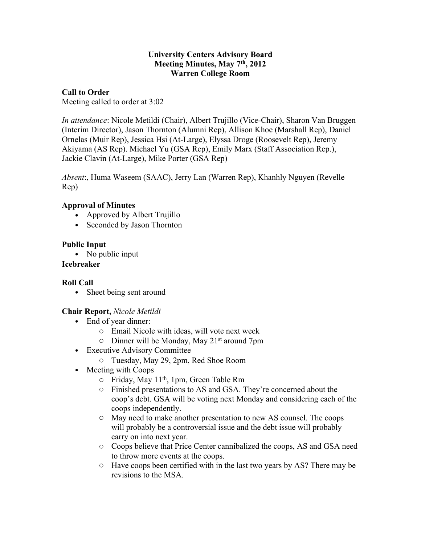#### **University Centers Advisory Board Meeting Minutes, May 7th, 2012 Warren College Room**

#### **Call to Order**

Meeting called to order at 3:02

*In attendance*: Nicole Metildi (Chair), Albert Trujillo (Vice-Chair), Sharon Van Bruggen (Interim Director), Jason Thornton (Alumni Rep), Allison Khoe (Marshall Rep), Daniel Ornelas (Muir Rep), Jessica Hsi (At-Large), Elyssa Droge (Roosevelt Rep), Jeremy Akiyama (AS Rep). Michael Yu (GSA Rep), Emily Marx (Staff Association Rep.), Jackie Clavin (At-Large), Mike Porter (GSA Rep)

*Absent*:, Huma Waseem (SAAC), Jerry Lan (Warren Rep), Khanhly Nguyen (Revelle Rep)

#### **Approval of Minutes**

- Approved by Albert Trujillo
- Seconded by Jason Thornton

## **Public Input**

• No public input

## **Icebreaker**

#### **Roll Call**

• Sheet being sent around

#### **Chair Report,** *Nicole Metildi*

- End of year dinner:
	- o Email Nicole with ideas, will vote next week
	- $\circ$  Dinner will be Monday, May 21<sup>st</sup> around 7pm
- Executive Advisory Committee
	- o Tuesday, May 29, 2pm, Red Shoe Room
- Meeting with Coops
	- o Friday, May 11th, 1pm, Green Table Rm
	- o Finished presentations to AS and GSA. They're concerned about the coop's debt. GSA will be voting next Monday and considering each of the coops independently.
	- o May need to make another presentation to new AS counsel. The coops will probably be a controversial issue and the debt issue will probably carry on into next year.
	- o Coops believe that Price Center cannibalized the coops, AS and GSA need to throw more events at the coops.
	- o Have coops been certified with in the last two years by AS? There may be revisions to the MSA.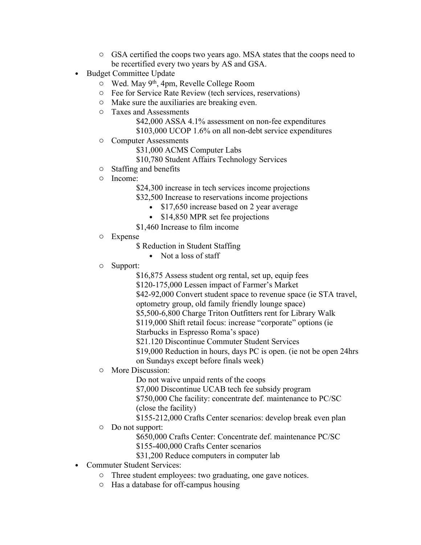- o GSA certified the coops two years ago. MSA states that the coops need to be recertified every two years by AS and GSA.
- Budget Committee Update
	- o Wed. May 9th, 4pm, Revelle College Room
	- o Fee for Service Rate Review (tech services, reservations)
	- o Make sure the auxiliaries are breaking even.
	- o Taxes and Assessments
		- \$42,000 ASSA 4.1% assessment on non-fee expenditures
		- \$103,000 UCOP 1.6% on all non-debt service expenditures
	- o Computer Assessments
		- \$31,000 ACMS Computer Labs
		- \$10,780 Student Affairs Technology Services
	- o Staffing and benefits
	- o Income:
		- \$24,300 increase in tech services income projections
		- \$32,500 Increase to reservations income projections
			- \$17,650 increase based on 2 year average
			- \$14,850 MPR set fee projections
		- \$1,460 Increase to film income
	- o Expense
		- \$ Reduction in Student Staffing
			- Not a loss of staff
	- o Support:
		- \$16,875 Assess student org rental, set up, equip fees
		- \$120-175,000 Lessen impact of Farmer's Market
		- \$42-92,000 Convert student space to revenue space (ie STA travel,
		- optometry group, old family friendly lounge space)
		- \$5,500-6,800 Charge Triton Outfitters rent for Library Walk
		- \$119,000 Shift retail focus: increase "corporate" options (ie
		- Starbucks in Espresso Roma's space)
		- \$21.120 Discontinue Commuter Student Services
		- \$19,000 Reduction in hours, days PC is open. (ie not be open 24hrs on Sundays except before finals week)
	- o More Discussion:
		- Do not waive unpaid rents of the coops
		- \$7,000 Discontinue UCAB tech fee subsidy program
		- \$750,000 Che facility: concentrate def. maintenance to PC/SC (close the facility)
		- \$155-212,000 Crafts Center scenarios: develop break even plan
	- o Do not support:
		- \$650,000 Crafts Center: Concentrate def. maintenance PC/SC
		- \$155-400,000 Crafts Center scenarios
		- \$31,200 Reduce computers in computer lab
- Commuter Student Services:
	- o Three student employees: two graduating, one gave notices.
	- o Has a database for off-campus housing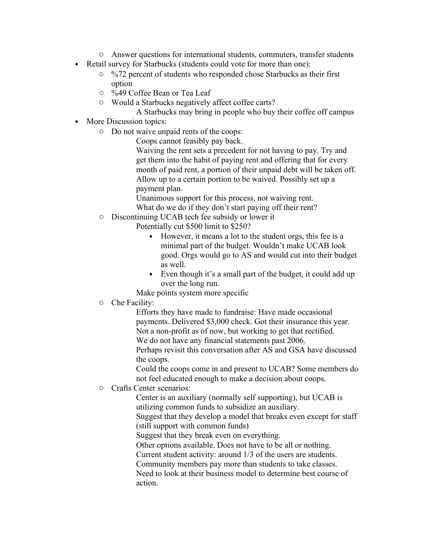- o Answer questions for international students, commuters, transfer students
- Retail survey for Starbucks (students could vote for more than one):
	- o %72 percent of students who responded chose Starbucks as their first option
	- o %49 Coffee Bean or Tea Leaf
	- o Would a Starbucks negatively affect coffee carts?
		- A Starbucks may bring in people who buy their coffee off campus
- More Discussion topics:
	- o Do not waive unpaid rents of the coops:

Coops cannot feasibly pay back.

Waiving the rent sets a precedent for not having to pay. Try and get them into the habit of paying rent and offering that for every month of paid rent, a portion of their unpaid debt will be taken off. Allow up to a certain portion to be waived. Possibly set up a payment plan.

Unanimous support for this process, not waiving rent. What do we do if they don't start paying off their rent?

o Discontinuing UCAB tech fee subsidy or lower it

Potentially cut \$500 limit to \$250?

- However, it means a lot to the student orgs, this fee is a minimal part of the budget. Wouldn't make UCAB look good. Orgs would go to AS and would cut into their budget as well.
- Even though it's a small part of the budget, it could add up over the long run.

Make points system more specific

o Che Facility:

Efforts they have made to fundraise: Have made occasional payments. Delivered \$3,000 check. Got their insurance this year. Not a non-profit as of now, but working to get that rectified. We do not have any financial statements past 2006.

Perhaps revisit this conversation after AS and GSA have discussed the coops.

Could the coops come in and present to UCAB? Some members do not feel educated enough to make a decision about coops.

o Crafts Center scenarios:

Center is an auxiliary (normally self supporting), but UCAB is utilizing common funds to subsidize an auxiliary.

Suggest that they develop a model that breaks even except for staff (still support with common funds)

Suggest that they break even on everything.

Other options available. Does not have to be all or nothing.

Current student activity: around 1/3 of the users are students.

Community members pay more than students to take classes.

Need to look at their business model to determine best course of action.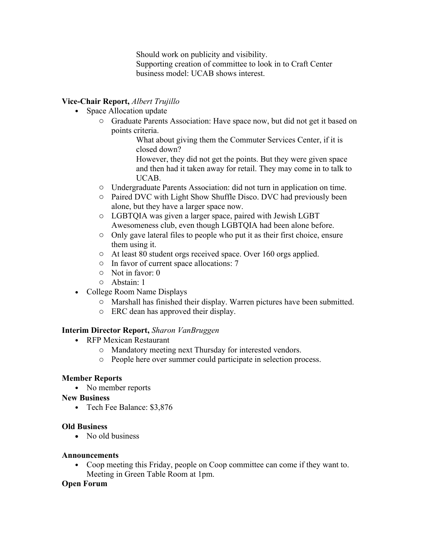Should work on publicity and visibility. Supporting creation of committee to look in to Craft Center business model: UCAB shows interest.

## **Vice-Chair Report,** *Albert Trujillo*

- Space Allocation update
	- o Graduate Parents Association: Have space now, but did not get it based on points criteria.

What about giving them the Commuter Services Center, if it is closed down?

However, they did not get the points. But they were given space and then had it taken away for retail. They may come in to talk to UCAB.

- o Undergraduate Parents Association: did not turn in application on time.
- o Paired DVC with Light Show Shuffle Disco. DVC had previously been alone, but they have a larger space now.
- o LGBTQIA was given a larger space, paired with Jewish LGBT Awesomeness club, even though LGBTQIA had been alone before.
- o Only gave lateral files to people who put it as their first choice, ensure them using it.
- o At least 80 student orgs received space. Over 160 orgs applied.
- o In favor of current space allocations: 7
- o Not in favor: 0
- o Abstain: 1
- College Room Name Displays
	- o Marshall has finished their display. Warren pictures have been submitted.
	- o ERC dean has approved their display.

#### **Interim Director Report,** *Sharon VanBruggen*

- RFP Mexican Restaurant
	- o Mandatory meeting next Thursday for interested vendors.
	- o People here over summer could participate in selection process.

#### **Member Reports**

• No member reports

#### **New Business**

• Tech Fee Balance: \$3,876

#### **Old Business**

• No old business

#### **Announcements**

• Coop meeting this Friday, people on Coop committee can come if they want to. Meeting in Green Table Room at 1pm.

#### **Open Forum**